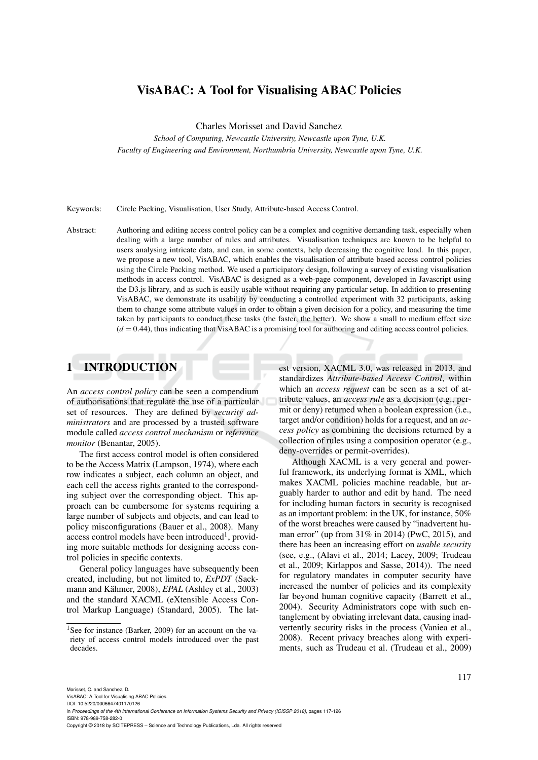# VisABAC: A Tool for Visualising ABAC Policies

Charles Morisset and David Sanchez

*School of Computing, Newcastle University, Newcastle upon Tyne, U.K. Faculty of Engineering and Environment, Northumbria University, Newcastle upon Tyne, U.K.*

Keywords: Circle Packing, Visualisation, User Study, Attribute-based Access Control.

Abstract: Authoring and editing access control policy can be a complex and cognitive demanding task, especially when dealing with a large number of rules and attributes. Visualisation techniques are known to be helpful to users analysing intricate data, and can, in some contexts, help decreasing the cognitive load. In this paper, we propose a new tool, VisABAC, which enables the visualisation of attribute based access control policies using the Circle Packing method. We used a participatory design, following a survey of existing visualisation methods in access control. VisABAC is designed as a web-page component, developed in Javascript using the D3.js library, and as such is easily usable without requiring any particular setup. In addition to presenting VisABAC, we demonstrate its usability by conducting a controlled experiment with 32 participants, asking them to change some attribute values in order to obtain a given decision for a policy, and measuring the time taken by participants to conduct these tasks (the faster, the better). We show a small to medium effect size  $(d = 0.44)$ , thus indicating that VisABAC is a promising tool for authoring and editing access control policies.

## 1 INTRODUCTION

An *access control policy* can be seen a compendium of authorisations that regulate the use of a particular set of resources. They are defined by *security administrators* and are processed by a trusted software module called *access control mechanism* or *reference monitor* (Benantar, 2005).

The first access control model is often considered to be the Access Matrix (Lampson, 1974), where each row indicates a subject, each column an object, and each cell the access rights granted to the corresponding subject over the corresponding object. This approach can be cumbersome for systems requiring a large number of subjects and objects, and can lead to policy misconfigurations (Bauer et al., 2008). Many access control models have been introduced<sup>1</sup>, providing more suitable methods for designing access control policies in specific contexts.

General policy languages have subsequently been created, including, but not limited to, *ExPDT* (Sackmann and Kähmer, 2008), *EPAL* (Ashley et al., 2003) and the standard XACML (eXtensible Access Control Markup Language) (Standard, 2005). The latest version, XACML 3.0, was released in 2013, and standardizes *Attribute-based Access Control*, within which an *access request* can be seen as a set of attribute values, an *access rule* as a decision (e.g., permit or deny) returned when a boolean expression (i.e., target and/or condition) holds for a request, and an *access policy* as combining the decisions returned by a collection of rules using a composition operator (e.g., deny-overrides or permit-overrides).

Although XACML is a very general and powerful framework, its underlying format is XML, which makes XACML policies machine readable, but arguably harder to author and edit by hand. The need for including human factors in security is recognised as an important problem: in the UK, for instance, 50% of the worst breaches were caused by "inadvertent human error" (up from 31% in 2014) (PwC, 2015), and there has been an increasing effort on *usable security* (see, e.g., (Alavi et al., 2014; Lacey, 2009; Trudeau et al., 2009; Kirlappos and Sasse, 2014)). The need for regulatory mandates in computer security have increased the number of policies and its complexity far beyond human cognitive capacity (Barrett et al., 2004). Security Administrators cope with such entanglement by obviating irrelevant data, causing inadvertently security risks in the process (Vaniea et al., 2008). Recent privacy breaches along with experiments, such as Trudeau et al. (Trudeau et al., 2009)

<sup>&</sup>lt;sup>1</sup>See for instance (Barker, 2009) for an account on the variety of access control models introduced over the past decades.

DOI: 10.5220/0006647401170126 In *Proceedings of the 4th International Conference on Information Systems Security and Privacy (ICISSP 2018)*, pages 117-126 ISBN: 978-989-758-282-0

Copyright © 2018 by SCITEPRESS – Science and Technology Publications, Lda. All rights reserved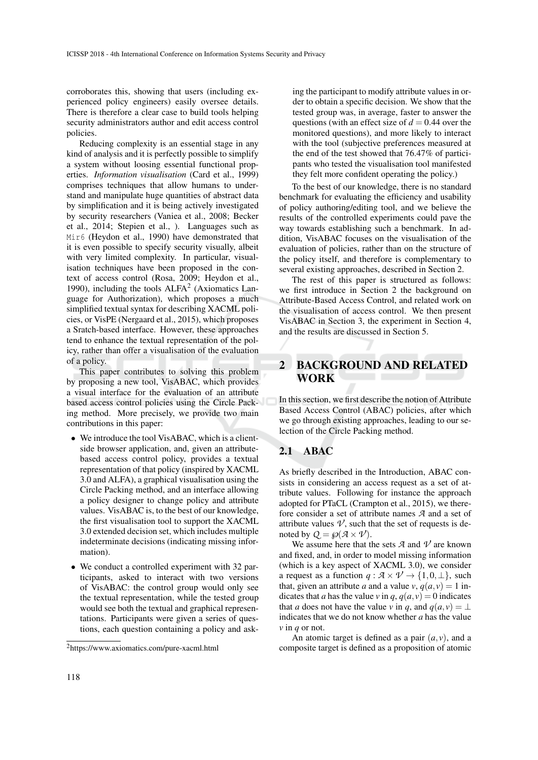corroborates this, showing that users (including experienced policy engineers) easily oversee details. There is therefore a clear case to build tools helping security administrators author and edit access control policies.

Reducing complexity is an essential stage in any kind of analysis and it is perfectly possible to simplify a system without loosing essential functional properties. *Information visualisation* (Card et al., 1999) comprises techniques that allow humans to understand and manipulate huge quantities of abstract data by simplification and it is being actively investigated by security researchers (Vaniea et al., 2008; Becker et al., 2014; Stepien et al., ). Languages such as Mir6 (Heydon et al., 1990) have demonstrated that it is even possible to specify security visually, albeit with very limited complexity. In particular, visualisation techniques have been proposed in the context of access control (Rosa, 2009; Heydon et al., 1990), including the tools  $ALFA<sup>2</sup>$  (Axiomatics Language for Authorization), which proposes a much simplified textual syntax for describing XACML policies, or VisPE (Nergaard et al., 2015), which proposes a Sratch-based interface. However, these approaches tend to enhance the textual representation of the policy, rather than offer a visualisation of the evaluation of a policy.

This paper contributes to solving this problem by proposing a new tool, VisABAC, which provides a visual interface for the evaluation of an attribute based access control policies using the Circle Packing method. More precisely, we provide two main contributions in this paper:

- We introduce the tool VisABAC, which is a clientside browser application, and, given an attributebased access control policy, provides a textual representation of that policy (inspired by XACML 3.0 and ALFA), a graphical visualisation using the Circle Packing method, and an interface allowing a policy designer to change policy and attribute values. VisABAC is, to the best of our knowledge, the first visualisation tool to support the XACML 3.0 extended decision set, which includes multiple indeterminate decisions (indicating missing information).
- We conduct a controlled experiment with 32 participants, asked to interact with two versions of VisABAC: the control group would only see the textual representation, while the tested group would see both the textual and graphical representations. Participants were given a series of questions, each question containing a policy and ask-

ing the participant to modify attribute values in order to obtain a specific decision. We show that the tested group was, in average, faster to answer the questions (with an effect size of  $d = 0.44$  over the monitored questions), and more likely to interact with the tool (subjective preferences measured at the end of the test showed that 76.47% of participants who tested the visualisation tool manifested they felt more confident operating the policy.)

To the best of our knowledge, there is no standard benchmark for evaluating the efficiency and usability of policy authoring/editing tool, and we believe the results of the controlled experiments could pave the way towards establishing such a benchmark. In addition, VisABAC focuses on the visualisation of the evaluation of policies, rather than on the structure of the policy itself, and therefore is complementary to several existing approaches, described in Section 2.

The rest of this paper is structured as follows: we first introduce in Section 2 the background on Attribute-Based Access Control, and related work on the visualisation of access control. We then present VisABAC in Section 3, the experiment in Section 4, and the results are discussed in Section 5.

## 2 BACKGROUND AND RELATED WORK

In this section, we first describe the notion of Attribute Based Access Control (ABAC) policies, after which we go through existing approaches, leading to our selection of the Circle Packing method.

#### 2.1 ABAC

As briefly described in the Introduction, ABAC consists in considering an access request as a set of attribute values. Following for instance the approach adopted for PTaCL (Crampton et al., 2015), we therefore consider a set of attribute names *A* and a set of attribute values  $\nu$ , such that the set of requests is denoted by  $Q = \wp(A \times V)$ .

We assume here that the sets *A* and *V* are known and fixed, and, in order to model missing information (which is a key aspect of XACML 3.0), we consider a request as a function  $q : \mathcal{A} \times \mathcal{V} \rightarrow \{1,0,\perp\}$ , such that, given an attribute *a* and a value *v*,  $q(a, v) = 1$  indicates that *a* has the value *v* in *q*,  $q(a, v) = 0$  indicates that *a* does not have the value *v* in *q*, and  $q(a, v) = \perp$ indicates that we do not know whether *a* has the value *v* in *q* or not.

An atomic target is defined as a pair  $(a, v)$ , and a composite target is defined as a proposition of atomic

<sup>2</sup>https://www.axiomatics.com/pure-xacml.html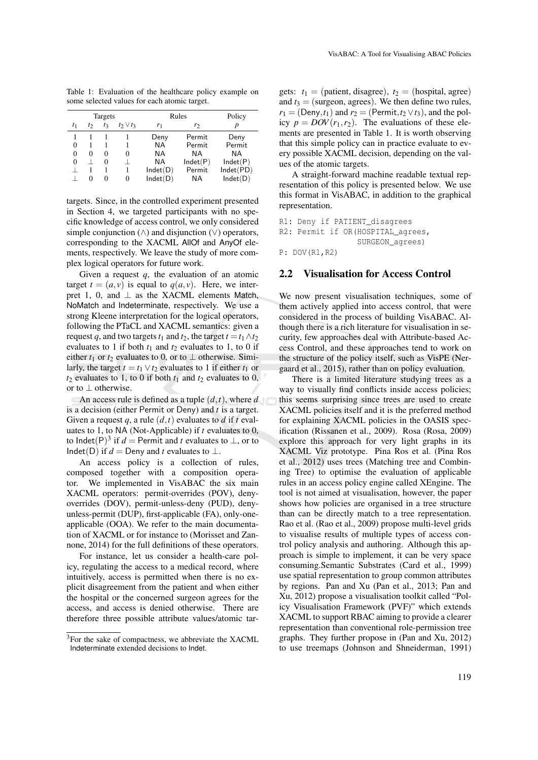Table 1: Evaluation of the healthcare policy example on some selected values for each atomic target.

| Targets  |          |          |                | Rules     |          | Policy    |
|----------|----------|----------|----------------|-----------|----------|-----------|
| $t_{1}$  | tэ       | $t_3$    | $t_2 \vee t_3$ | $r_1$     | r        | p         |
|          |          |          |                | Deny      | Permit   | Deny      |
| $\theta$ |          |          |                | <b>NA</b> | Permit   | Permit    |
| $\Omega$ | $\theta$ | $\theta$ | $\theta$       | <b>NA</b> | ΝA       | ΝA        |
| $\theta$ |          | $\theta$ |                | <b>NA</b> | Indet(P) | Indet(P)  |
|          |          |          |                | Indet(D)  | Permit   | Indet(PD) |
|          | $\Omega$ | $\theta$ | 0              | Indet(D)  | ΝA       | Indet(D)  |

targets. Since, in the controlled experiment presented in Section 4, we targeted participants with no specific knowledge of access control, we only considered simple conjunction  $( \wedge )$  and disjunction  $( \vee )$  operators, corresponding to the XACML AllOf and AnyOf elements, respectively. We leave the study of more complex logical operators for future work.

Given a request *q*, the evaluation of an atomic target  $t = (a, v)$  is equal to  $q(a, v)$ . Here, we interpret 1, 0, and  $\perp$  as the XACML elements Match, NoMatch and Indeterminate, respectively. We use a strong Kleene interpretation for the logical operators, following the PTaCL and XACML semantics: given a request *q*, and two targets  $t_1$  and  $t_2$ , the target  $t = t_1 \wedge t_2$ evaluates to 1 if both  $t_1$  and  $t_2$  evaluates to 1, to 0 if either  $t_1$  or  $t_2$  evaluates to 0, or to  $\perp$  otherwise. Similarly, the target  $t = t_1 \vee t_2$  evaluates to 1 if either  $t_1$  or  $t_2$  evaluates to 1, to 0 if both  $t_1$  and  $t_2$  evaluates to 0, or to ⊥ otherwise.

An access rule is defined as a tuple (*d*,*t*), where *d* is a decision (either Permit or Deny) and *t* is a target. Given a request q, a rule  $(d,t)$  evaluates to d if t evaluates to 1, to NA (Not-Applicable) if *t* evaluates to 0, to Indet(P)<sup>3</sup> if  $d =$  Permit and *t* evaluates to  $\perp$ , or to Indet(D) if  $d =$  Deny and *t* evaluates to  $\perp$ .

An access policy is a collection of rules, composed together with a composition operator. We implemented in VisABAC the six main XACML operators: permit-overrides (POV), denyoverrides (DOV), permit-unless-deny (PUD), denyunless-permit (DUP), first-applicable (FA), only-oneapplicable (OOA). We refer to the main documentation of XACML or for instance to (Morisset and Zannone, 2014) for the full definitions of these operators.

For instance, let us consider a health-care policy, regulating the access to a medical record, where intuitively, access is permitted when there is no explicit disagreement from the patient and when either the hospital or the concerned surgeon agrees for the access, and access is denied otherwise. There are therefore three possible attribute values/atomic tar-

gets:  $t_1$  = (patient, disagree),  $t_2$  = (hospital, agree) and  $t_3$  = (surgeon, agrees). We then define two rules,  $r_1$  = (Deny, $t_1$ ) and  $r_2$  = (Permit, $t_2 \vee t_3$ ), and the policy  $p = DOV(r_1, r_2)$ . The evaluations of these elements are presented in Table 1. It is worth observing that this simple policy can in practice evaluate to every possible XACML decision, depending on the values of the atomic targets.

A straight-forward machine readable textual representation of this policy is presented below. We use this format in VisABAC, in addition to the graphical representation.

```
R1: Deny if PATIENT_disagrees
R2: Permit if OR(HOSPITAL_agrees,
                 SURGEON_agrees)
```
P: DOV(R1,R2)

#### 2.2 Visualisation for Access Control

We now present visualisation techniques, some of them actively applied into access control, that were considered in the process of building VisABAC. Although there is a rich literature for visualisation in security, few approaches deal with Attribute-based Access Control, and these approaches tend to work on the structure of the policy itself, such as VisPE (Nergaard et al., 2015), rather than on policy evaluation.

There is a limited literature studying trees as a way to visually find conflicts inside access policies; this seems surprising since trees are used to create XACML policies itself and it is the preferred method for explaining XACML policies in the OASIS specification (Rissanen et al., 2009). Rosa (Rosa, 2009) explore this approach for very light graphs in its XACML Viz prototype. Pina Ros et al. (Pina Ros et al., 2012) uses trees (Matching tree and Combining Tree) to optimise the evaluation of applicable rules in an access policy engine called XEngine. The tool is not aimed at visualisation, however, the paper shows how policies are organised in a tree structure than can be directly match to a tree representation. Rao et al. (Rao et al., 2009) propose multi-level grids to visualise results of multiple types of access control policy analysis and authoring. Although this approach is simple to implement, it can be very space consuming.Semantic Substrates (Card et al., 1999) use spatial representation to group common attributes by regions. Pan and Xu (Pan et al., 2013; Pan and Xu, 2012) propose a visualisation toolkit called "Policy Visualisation Framework (PVF)" which extends XACML to support RBAC aiming to provide a clearer representation than conventional role-permission tree graphs. They further propose in (Pan and Xu, 2012) to use treemaps (Johnson and Shneiderman, 1991)

<sup>3</sup>For the sake of compactness, we abbreviate the XACML Indeterminate extended decisions to Indet.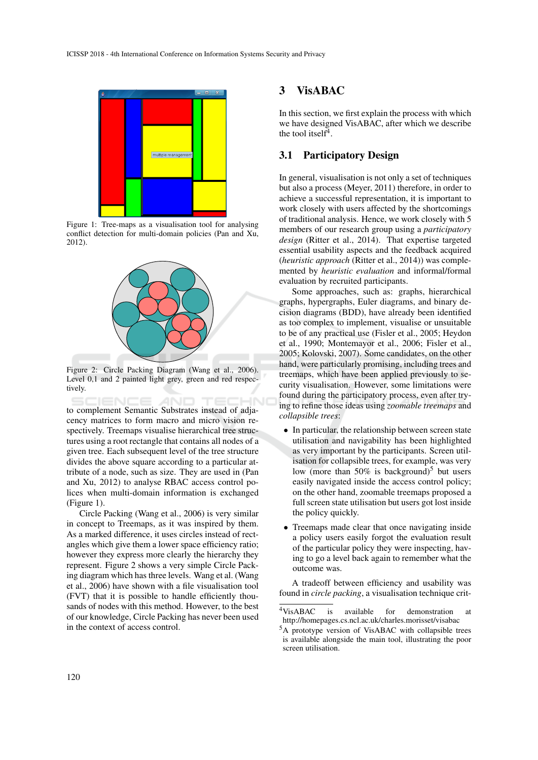

Figure 1: Tree-maps as a visualisation tool for analysing conflict detection for multi-domain policies (Pan and Xu, 2012).



Figure 2: Circle Packing Diagram (Wang et al., 2006). Level 0,1 and 2 painted light grey, green and red respectively.

to complement Semantic Substrates instead of adjacency matrices to form macro and micro vision respectively. Treemaps visualise hierarchical tree structures using a root rectangle that contains all nodes of a given tree. Each subsequent level of the tree structure divides the above square according to a particular attribute of a node, such as size. They are used in (Pan and Xu, 2012) to analyse RBAC access control polices when multi-domain information is exchanged (Figure 1).

Circle Packing (Wang et al., 2006) is very similar in concept to Treemaps, as it was inspired by them. As a marked difference, it uses circles instead of rectangles which give them a lower space efficiency ratio; however they express more clearly the hierarchy they represent. Figure 2 shows a very simple Circle Packing diagram which has three levels. Wang et al. (Wang et al., 2006) have shown with a file visualisation tool (FVT) that it is possible to handle efficiently thousands of nodes with this method. However, to the best of our knowledge, Circle Packing has never been used in the context of access control.

## 3 VisABAC

In this section, we first explain the process with which we have designed VisABAC, after which we describe the tool itself<sup>4</sup>.

## 3.1 Participatory Design

In general, visualisation is not only a set of techniques but also a process (Meyer, 2011) therefore, in order to achieve a successful representation, it is important to work closely with users affected by the shortcomings of traditional analysis. Hence, we work closely with 5 members of our research group using a *participatory design* (Ritter et al., 2014). That expertise targeted essential usability aspects and the feedback acquired (*heuristic approach* (Ritter et al., 2014)) was complemented by *heuristic evaluation* and informal/formal evaluation by recruited participants.

Some approaches, such as: graphs, hierarchical graphs, hypergraphs, Euler diagrams, and binary decision diagrams (BDD), have already been identified as too complex to implement, visualise or unsuitable to be of any practical use (Fisler et al., 2005; Heydon et al., 1990; Montemayor et al., 2006; Fisler et al., 2005; Kolovski, 2007). Some candidates, on the other hand, were particularly promising, including trees and treemaps, which have been applied previously to security visualisation. However, some limitations were found during the participatory process, even after trying to refine those ideas using *zoomable treemaps* and *collapsible trees*:

- In particular, the relationship between screen state utilisation and navigability has been highlighted as very important by the participants. Screen utilisation for collapsible trees, for example, was very low (more than 50% is background)<sup>5</sup> but users easily navigated inside the access control policy; on the other hand, zoomable treemaps proposed a full screen state utilisation but users got lost inside the policy quickly.
- Treemaps made clear that once navigating inside a policy users easily forgot the evaluation result of the particular policy they were inspecting, having to go a level back again to remember what the outcome was.

A tradeoff between efficiency and usability was found in *circle packing*, a visualisation technique crit-

<sup>4</sup>VisABAC is available for demonstration at http://homepages.cs.ncl.ac.uk/charles.morisset/visabac

<sup>5</sup>A prototype version of VisABAC with collapsible trees is available alongside the main tool, illustrating the poor screen utilisation.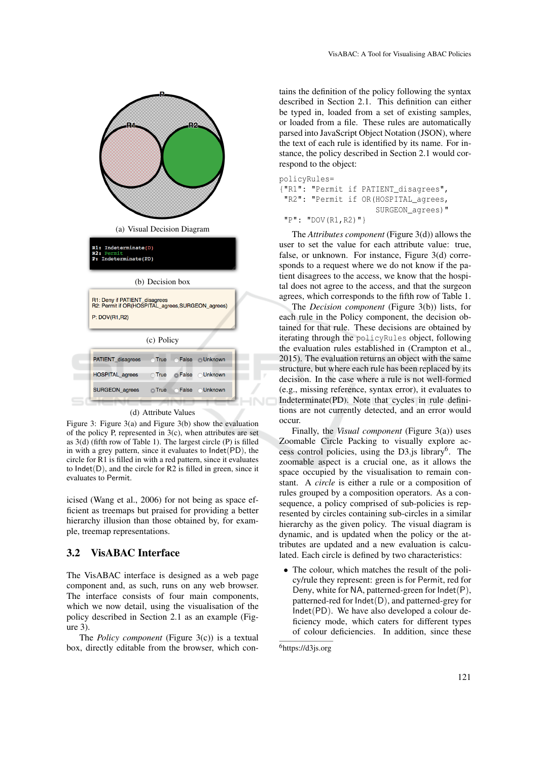

Figure 3: Figure 3(a) and Figure 3(b) show the evaluation of the policy P, represented in 3(c), when attributes are set as 3(d) (fifth row of Table 1). The largest circle (P) is filled in with a grey pattern, since it evaluates to Indet(PD), the circle for R1 is filled in with a red pattern, since it evaluates to Indet(D), and the circle for R2 is filled in green, since it evaluates to Permit.

icised (Wang et al., 2006) for not being as space efficient as treemaps but praised for providing a better hierarchy illusion than those obtained by, for example, treemap representations.

### 3.2 VisABAC Interface

The VisABAC interface is designed as a web page component and, as such, runs on any web browser. The interface consists of four main components, which we now detail, using the visualisation of the policy described in Section 2.1 as an example (Figure 3).

The *Policy component* (Figure 3(c)) is a textual box, directly editable from the browser, which contains the definition of the policy following the syntax described in Section 2.1. This definition can either be typed in, loaded from a set of existing samples, or loaded from a file. These rules are automatically parsed into JavaScript Object Notation (JSON), where the text of each rule is identified by its name. For instance, the policy described in Section 2.1 would correspond to the object:

```
policyRules=
{"R1": "Permit if PATIENT_disagrees",
 "R2": "Permit if OR(HOSPITAL_agrees,
                     SURGEON_agrees)"
"P": "DOV(R1,R2)"}
```
The *Attributes component* (Figure 3(d)) allows the user to set the value for each attribute value: true, false, or unknown. For instance, Figure 3(d) corresponds to a request where we do not know if the patient disagrees to the access, we know that the hospital does not agree to the access, and that the surgeon agrees, which corresponds to the fifth row of Table 1.

The *Decision component* (Figure 3(b)) lists, for each rule in the Policy component, the decision obtained for that rule. These decisions are obtained by iterating through the policyRules object, following the evaluation rules established in (Crampton et al., 2015). The evaluation returns an object with the same structure, but where each rule has been replaced by its decision. In the case where a rule is not well-formed (e.g., missing reference, syntax error), it evaluates to Indeterminate(PD). Note that cycles in rule definitions are not currently detected, and an error would occur.

Finally, the *Visual component* (Figure 3(a)) uses Zoomable Circle Packing to visually explore access control policies, using the D3.js library<sup>6</sup>. The zoomable aspect is a crucial one, as it allows the space occupied by the visualisation to remain constant. A *circle* is either a rule or a composition of rules grouped by a composition operators. As a consequence, a policy comprised of sub-policies is represented by circles containing sub-circles in a similar hierarchy as the given policy. The visual diagram is dynamic, and is updated when the policy or the attributes are updated and a new evaluation is calculated. Each circle is defined by two characteristics:

• The colour, which matches the result of the policy/rule they represent: green is for Permit, red for Deny, white for NA, patterned-green for Indet(P), patterned-red for Indet(D), and patterned-grey for Indet(PD). We have also developed a colour deficiency mode, which caters for different types of colour deficiencies. In addition, since these

 $<sup>6</sup>$ https://d3js.org</sup>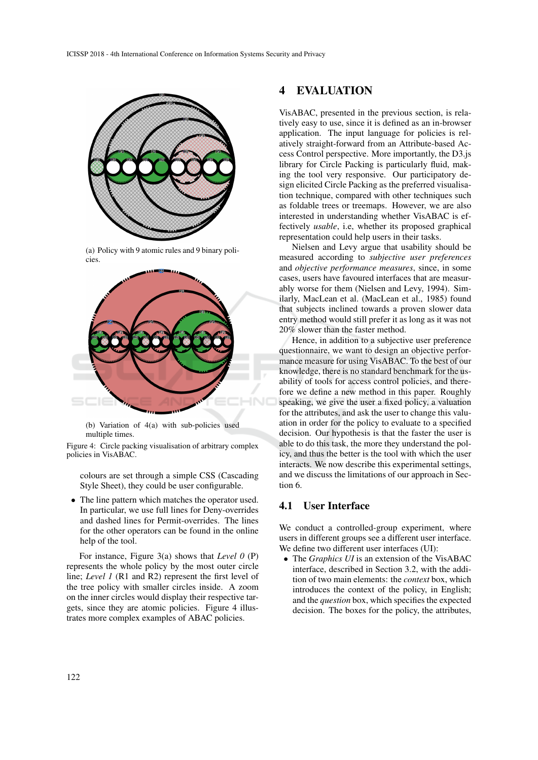





(b) Variation of 4(a) with sub-policies used multiple times.

Figure 4: Circle packing visualisation of arbitrary complex policies in VisABAC.

colours are set through a simple CSS (Cascading Style Sheet), they could be user configurable.

• The line pattern which matches the operator used. In particular, we use full lines for Deny-overrides and dashed lines for Permit-overrides. The lines for the other operators can be found in the online help of the tool.

For instance, Figure 3(a) shows that *Level 0* (P) represents the whole policy by the most outer circle line; *Level 1* (R1 and R2) represent the first level of the tree policy with smaller circles inside. A zoom on the inner circles would display their respective targets, since they are atomic policies. Figure 4 illustrates more complex examples of ABAC policies.

### 4 EVALUATION

VisABAC, presented in the previous section, is relatively easy to use, since it is defined as an in-browser application. The input language for policies is relatively straight-forward from an Attribute-based Access Control perspective. More importantly, the D3.js library for Circle Packing is particularly fluid, making the tool very responsive. Our participatory design elicited Circle Packing as the preferred visualisation technique, compared with other techniques such as foldable trees or treemaps. However, we are also interested in understanding whether VisABAC is effectively *usable*, i.e, whether its proposed graphical representation could help users in their tasks.

Nielsen and Levy argue that usability should be measured according to *subjective user preferences* and *objective performance measures*, since, in some cases, users have favoured interfaces that are measurably worse for them (Nielsen and Levy, 1994). Similarly, MacLean et al. (MacLean et al., 1985) found that subjects inclined towards a proven slower data entry method would still prefer it as long as it was not 20% slower than the faster method.

Hence, in addition to a subjective user preference questionnaire, we want to design an objective performance measure for using VisABAC. To the best of our knowledge, there is no standard benchmark for the usability of tools for access control policies, and therefore we define a new method in this paper. Roughly speaking, we give the user a fixed policy, a valuation for the attributes, and ask the user to change this valuation in order for the policy to evaluate to a specified decision. Our hypothesis is that the faster the user is able to do this task, the more they understand the policy, and thus the better is the tool with which the user interacts. We now describe this experimental settings, and we discuss the limitations of our approach in Section 6.

#### 4.1 User Interface

We conduct a controlled-group experiment, where users in different groups see a different user interface. We define two different user interfaces (UI):

• The *Graphics UI* is an extension of the VisABAC interface, described in Section 3.2, with the addition of two main elements: the *context* box, which introduces the context of the policy, in English; and the *question* box, which specifies the expected decision. The boxes for the policy, the attributes,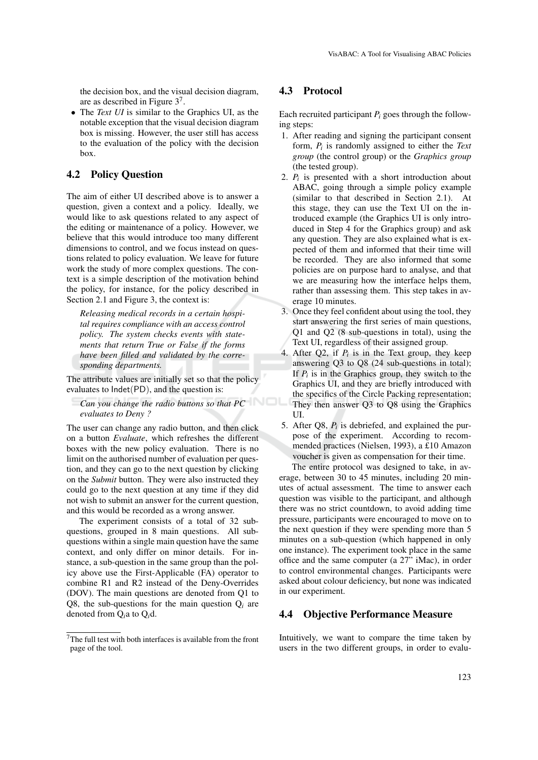the decision box, and the visual decision diagram, are as described in Figure  $3^7$ .

• The *Text UI* is similar to the Graphics UI, as the notable exception that the visual decision diagram box is missing. However, the user still has access to the evaluation of the policy with the decision box.

### 4.2 Policy Question

The aim of either UI described above is to answer a question, given a context and a policy. Ideally, we would like to ask questions related to any aspect of the editing or maintenance of a policy. However, we believe that this would introduce too many different dimensions to control, and we focus instead on questions related to policy evaluation. We leave for future work the study of more complex questions. The context is a simple description of the motivation behind the policy, for instance, for the policy described in Section 2.1 and Figure 3, the context is:

*Releasing medical records in a certain hospital requires compliance with an access control policy. The system checks events with statements that return True or False if the forms have been filled and validated by the corresponding departments.*

The attribute values are initially set so that the policy evaluates to Indet(PD), and the question is:

*Can you change the radio buttons so that PC evaluates to Deny ?*

The user can change any radio button, and then click on a button *Evaluate*, which refreshes the different boxes with the new policy evaluation. There is no limit on the authorised number of evaluation per question, and they can go to the next question by clicking on the *Submit* button. They were also instructed they could go to the next question at any time if they did not wish to submit an answer for the current question, and this would be recorded as a wrong answer.

The experiment consists of a total of 32 subquestions, grouped in 8 main questions. All subquestions within a single main question have the same context, and only differ on minor details. For instance, a sub-question in the same group than the policy above use the First-Applicable (FA) operator to combine R1 and R2 instead of the Deny-Overrides (DOV). The main questions are denoted from Q1 to Q8, the sub-questions for the main question Q*<sup>i</sup>* are denoted from Q*i*a to Q*i*d.

#### 4.3 Protocol

Each recruited participant  $P_i$  goes through the following steps:

- 1. After reading and signing the participant consent form, *P<sup>i</sup>* is randomly assigned to either the *Text group* (the control group) or the *Graphics group* (the tested group).
- 2.  $P_i$  is presented with a short introduction about ABAC, going through a simple policy example (similar to that described in Section 2.1). At this stage, they can use the Text UI on the introduced example (the Graphics UI is only introduced in Step 4 for the Graphics group) and ask any question. They are also explained what is expected of them and informed that their time will be recorded. They are also informed that some policies are on purpose hard to analyse, and that we are measuring how the interface helps them, rather than assessing them. This step takes in average 10 minutes.
- 3. Once they feel confident about using the tool, they start answering the first series of main questions, Q1 and Q2 (8 sub-questions in total), using the Text UI, regardless of their assigned group.
- 4. After  $Q2$ , if  $P_i$  is in the Text group, they keep answering Q3 to Q8 (24 sub-questions in total); If  $P_i$  is in the Graphics group, they switch to the Graphics UI, and they are briefly introduced with the specifics of the Circle Packing representation; They then answer Q3 to Q8 using the Graphics  $III$
- 5. After Q8,  $P_i$  is debriefed, and explained the purpose of the experiment. According to recommended practices (Nielsen, 1993), a £10 Amazon voucher is given as compensation for their time.

The entire protocol was designed to take, in average, between 30 to 45 minutes, including 20 minutes of actual assessment. The time to answer each question was visible to the participant, and although there was no strict countdown, to avoid adding time pressure, participants were encouraged to move on to the next question if they were spending more than 5 minutes on a sub-question (which happened in only one instance). The experiment took place in the same office and the same computer (a 27" iMac), in order to control environmental changes. Participants were asked about colour deficiency, but none was indicated in our experiment.

#### 4.4 Objective Performance Measure

Intuitively, we want to compare the time taken by users in the two different groups, in order to evalu-

<sup>7</sup>The full test with both interfaces is available from the front page of the tool.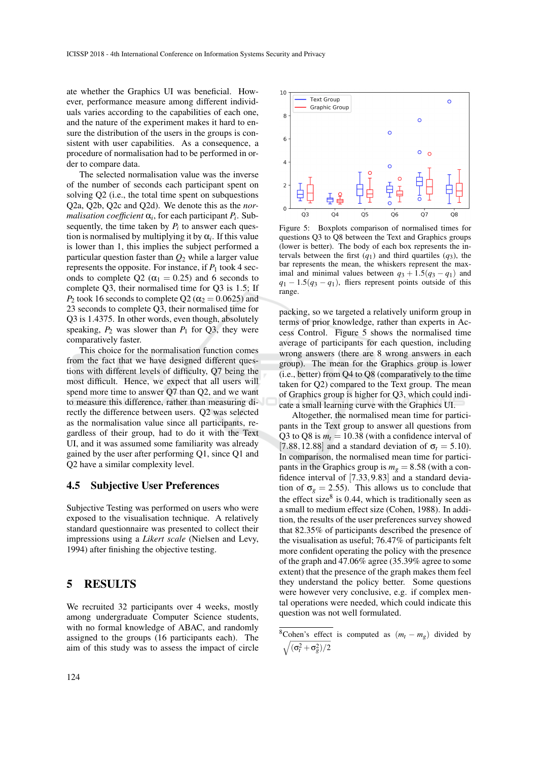ate whether the Graphics UI was beneficial. However, performance measure among different individuals varies according to the capabilities of each one, and the nature of the experiment makes it hard to ensure the distribution of the users in the groups is consistent with user capabilities. As a consequence, a procedure of normalisation had to be performed in order to compare data.

The selected normalisation value was the inverse of the number of seconds each participant spent on solving Q2 (i.e., the total time spent on subquestions Q2a, Q2b, Q2c and Q2d). We denote this as the *normalisation coefficient* α*<sup>i</sup>* , for each participant *P<sup>i</sup>* . Subsequently, the time taken by  $P_i$  to answer each question is normalised by multiplying it by α*<sup>i</sup>* . If this value is lower than 1, this implies the subject performed a particular question faster than  $Q_2$  while a larger value represents the opposite. For instance, if  $P_1$  took 4 seconds to complete Q2 ( $\alpha_1 = 0.25$ ) and 6 seconds to complete Q3, their normalised time for Q3 is 1.5; If *P*<sub>2</sub> took 16 seconds to complete Q2 ( $\alpha$ <sub>2</sub> = 0.0625) and 23 seconds to complete Q3, their normalised time for Q3 is 1.4375. In other words, even though, absolutely speaking,  $P_2$  was slower than  $P_1$  for  $Q_3$ , they were comparatively faster.

This choice for the normalisation function comes from the fact that we have designed different questions with different levels of difficulty, Q7 being the most difficult. Hence, we expect that all users will spend more time to answer Q7 than Q2, and we want to measure this difference, rather than measuring directly the difference between users. Q2 was selected as the normalisation value since all participants, regardless of their group, had to do it with the Text UI, and it was assumed some familiarity was already gained by the user after performing Q1, since Q1 and Q2 have a similar complexity level.

#### 4.5 Subjective User Preferences

Subjective Testing was performed on users who were exposed to the visualisation technique. A relatively standard questionnaire was presented to collect their impressions using a *Likert scale* (Nielsen and Levy, 1994) after finishing the objective testing.

#### 5 RESULTS

We recruited 32 participants over 4 weeks, mostly among undergraduate Computer Science students, with no formal knowledge of ABAC, and randomly assigned to the groups (16 participants each). The aim of this study was to assess the impact of circle



Figure 5: Boxplots comparison of normalised times for questions Q3 to Q8 between the Text and Graphics groups (lower is better). The body of each box represents the intervals between the first  $(q_1)$  and third quartiles  $(q_3)$ , the bar represents the mean, the whiskers represent the maximal and minimal values between  $q_3 + 1.5(q_3 - q_1)$  and  $q_1 - 1.5(q_3 - q_1)$ , fliers represent points outside of this range.

packing, so we targeted a relatively uniform group in terms of prior knowledge, rather than experts in Access Control. Figure 5 shows the normalised time average of participants for each question, including wrong answers (there are 8 wrong answers in each group). The mean for the Graphics group is lower (i.e., better) from Q4 to Q8 (comparatively to the time taken for Q2) compared to the Text group. The mean of Graphics group is higher for Q3, which could indicate a small learning curve with the Graphics UI.

Altogether, the normalised mean time for participants in the Text group to answer all questions from Q3 to Q8 is  $m_t = 10.38$  (with a confidence interval of [7.88,12.88] and a standard deviation of  $\sigma_t = 5.10$ ). In comparison, the normalised mean time for participants in the Graphics group is  $m<sub>g</sub> = 8.58$  (with a confidence interval of [7.33,9.83] and a standard deviation of  $\sigma_g = 2.55$ ). This allows us to conclude that the effect size $8$  is 0.44, which is traditionally seen as a small to medium effect size (Cohen, 1988). In addition, the results of the user preferences survey showed that 82.35% of participants described the presence of the visualisation as useful; 76.47% of participants felt more confident operating the policy with the presence of the graph and 47.06% agree (35.39% agree to some extent) that the presence of the graph makes them feel they understand the policy better. Some questions were however very conclusive, e.g. if complex mental operations were needed, which could indicate this question was not well formulated.

<sup>&</sup>lt;sup>8</sup>Cohen's effect is computed as  $(m_t - m_g)$  divided by  $\sqrt{(\sigma_t^2 + \sigma_g^2)/2}$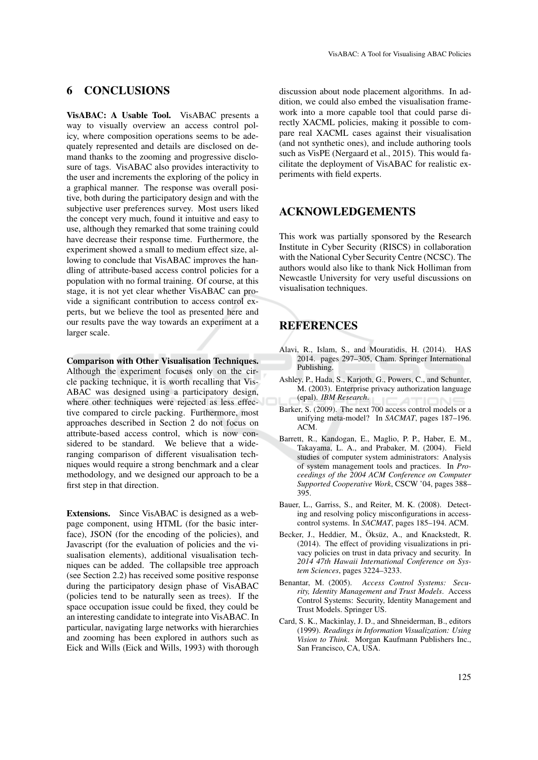### 6 CONCLUSIONS

VisABAC: A Usable Tool. VisABAC presents a way to visually overview an access control policy, where composition operations seems to be adequately represented and details are disclosed on demand thanks to the zooming and progressive disclosure of tags. VisABAC also provides interactivity to the user and increments the exploring of the policy in a graphical manner. The response was overall positive, both during the participatory design and with the subjective user preferences survey. Most users liked the concept very much, found it intuitive and easy to use, although they remarked that some training could have decrease their response time. Furthermore, the experiment showed a small to medium effect size, allowing to conclude that VisABAC improves the handling of attribute-based access control policies for a population with no formal training. Of course, at this stage, it is not yet clear whether VisABAC can provide a significant contribution to access control experts, but we believe the tool as presented here and our results pave the way towards an experiment at a larger scale.

Comparison with Other Visualisation Techniques. Although the experiment focuses only on the circle packing technique, it is worth recalling that Vis-ABAC was designed using a participatory design, where other techniques were rejected as less effective compared to circle packing. Furthermore, most approaches described in Section 2 do not focus on attribute-based access control, which is now considered to be standard. We believe that a wideranging comparison of different visualisation techniques would require a strong benchmark and a clear methodology, and we designed our approach to be a first step in that direction.

Extensions. Since VisABAC is designed as a webpage component, using HTML (for the basic interface), JSON (for the encoding of the policies), and Javascript (for the evaluation of policies and the visualisation elements), additional visualisation techniques can be added. The collapsible tree approach (see Section 2.2) has received some positive response during the participatory design phase of VisABAC (policies tend to be naturally seen as trees). If the space occupation issue could be fixed, they could be an interesting candidate to integrate into VisABAC. In particular, navigating large networks with hierarchies and zooming has been explored in authors such as Eick and Wills (Eick and Wills, 1993) with thorough discussion about node placement algorithms. In addition, we could also embed the visualisation framework into a more capable tool that could parse directly XACML policies, making it possible to compare real XACML cases against their visualisation (and not synthetic ones), and include authoring tools such as VisPE (Nergaard et al., 2015). This would facilitate the deployment of VisABAC for realistic experiments with field experts.

### ACKNOWLEDGEMENTS

This work was partially sponsored by the Research Institute in Cyber Security (RISCS) in collaboration with the National Cyber Security Centre (NCSC). The authors would also like to thank Nick Holliman from Newcastle University for very useful discussions on visualisation techniques.

## **REFERENCES**

- Alavi, R., Islam, S., and Mouratidis, H. (2014). HAS 2014. pages 297–305, Cham. Springer International Publishing.
- Ashley, P., Hada, S., Karjoth, G., Powers, C., and Schunter, M. (2003). Enterprise privacy authorization language (epal). *IBM Research*.
- Barker, S. (2009). The next 700 access control models or a unifying meta-model? In *SACMAT*, pages 187–196. ACM.
- Barrett, R., Kandogan, E., Maglio, P. P., Haber, E. M., Takayama, L. A., and Prabaker, M. (2004). Field studies of computer system administrators: Analysis of system management tools and practices. In *Proceedings of the 2004 ACM Conference on Computer Supported Cooperative Work*, CSCW '04, pages 388– 395.
- Bauer, L., Garriss, S., and Reiter, M. K. (2008). Detecting and resolving policy misconfigurations in accesscontrol systems. In *SACMAT*, pages 185–194. ACM.
- Becker, J., Heddier, M., Öksüz, A., and Knackstedt, R. (2014). The effect of providing visualizations in privacy policies on trust in data privacy and security. In *2014 47th Hawaii International Conference on System Sciences*, pages 3224–3233.
- Benantar, M. (2005). *Access Control Systems: Security, Identity Management and Trust Models*. Access Control Systems: Security, Identity Management and Trust Models. Springer US.
- Card, S. K., Mackinlay, J. D., and Shneiderman, B., editors (1999). *Readings in Information Visualization: Using Vision to Think*. Morgan Kaufmann Publishers Inc., San Francisco, CA, USA.